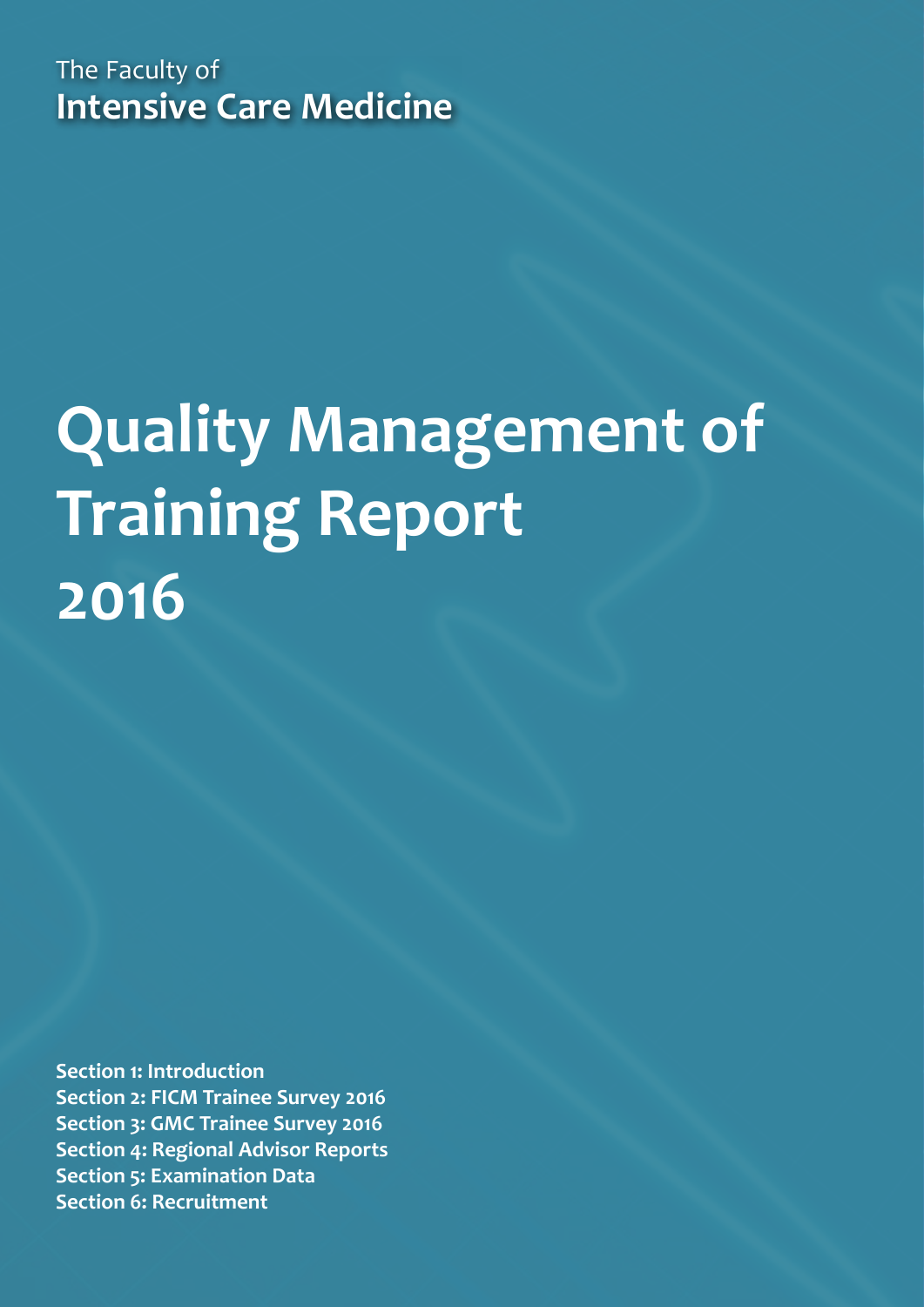The Faculty of **Intensive Care Medicine**

# **Quality Management of Training Report 2016**

**[Section 1: Introduction](#page-2-0) [Section 2: FICM Trainee Survey 2016](#page-3-0) [Section 3: GMC Trainee Survey 2016](#page-5-0) [Section 4: Regional Advisor Reports](#page-8-0) [Section 5: Examination Data](#page-10-0) [Section 6: Recruitment](#page-12-0)**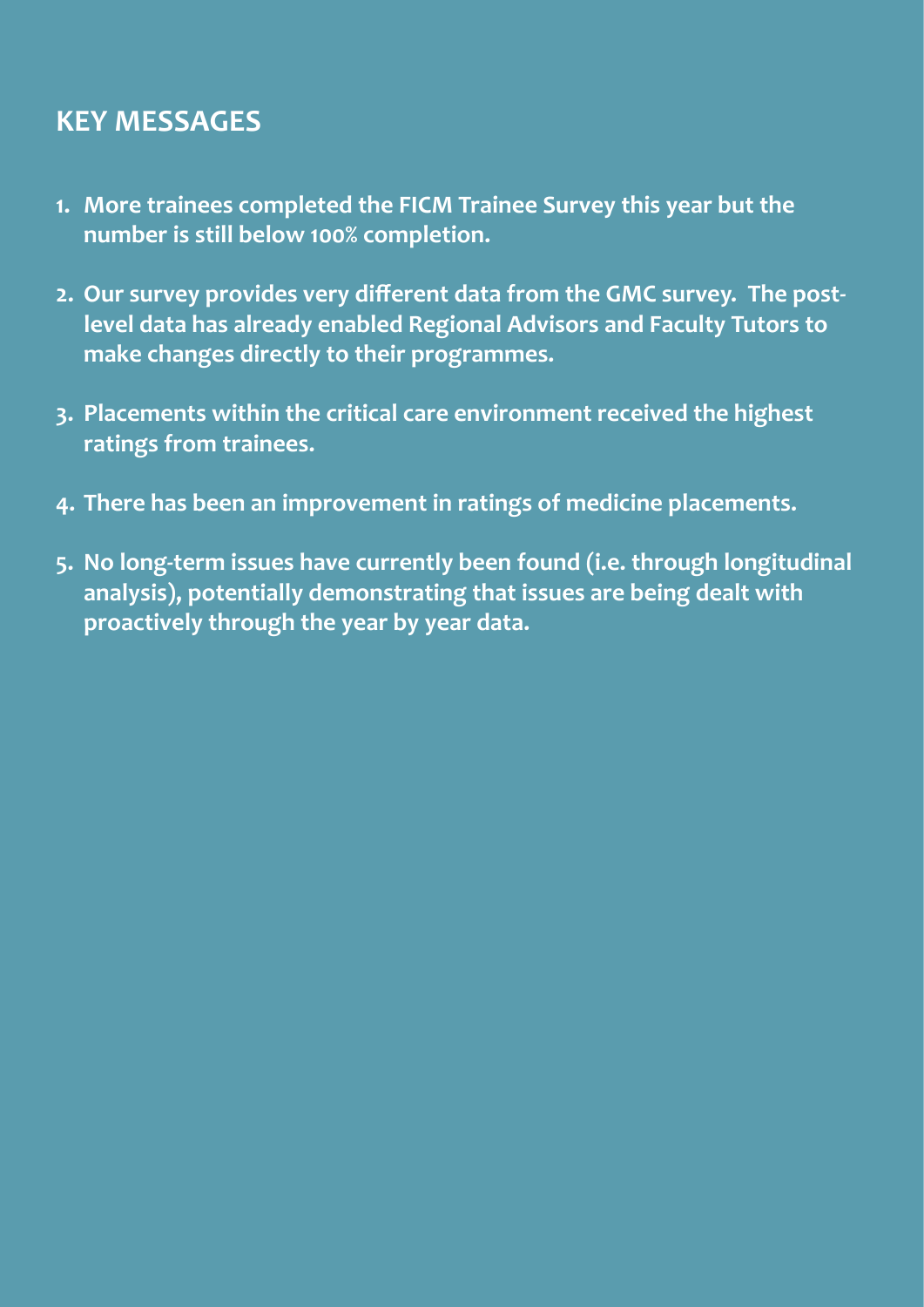# **KEY MESSAGES**

- **1. More trainees completed the FICM Trainee Survey this year but the number is still below 100% completion.**
- **2. Our survey provides very different data from the GMC survey. The postlevel data has already enabled Regional Advisors and Faculty Tutors to make changes directly to their programmes.**
- **3. Placements within the critical care environment received the highest ratings from trainees.**
- **4. There has been an improvement in ratings of medicine placements.**
- **5. No long-term issues have currently been found (i.e. through longitudinal analysis), potentially demonstrating that issues are being dealt with proactively through the year by year data.**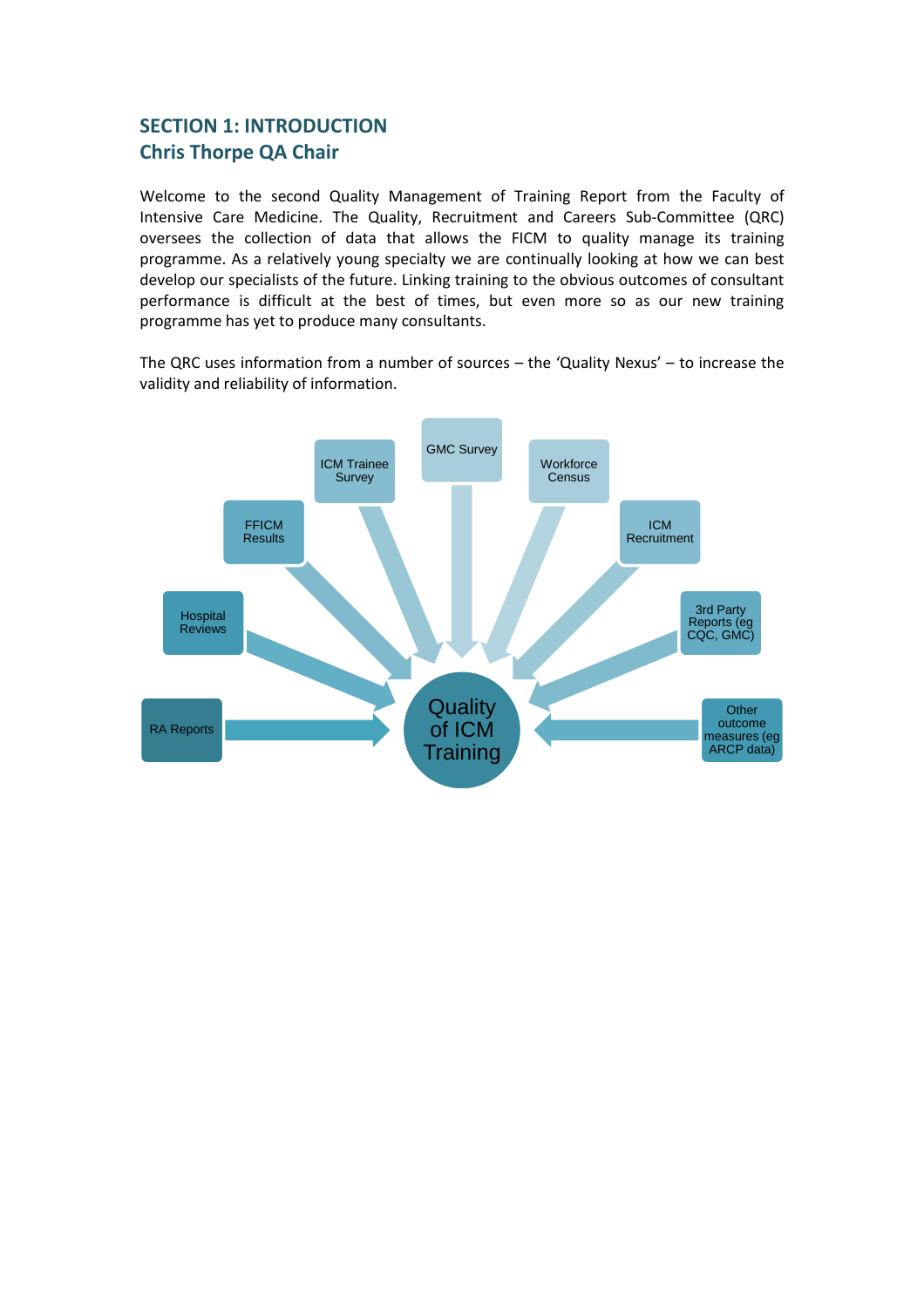## <span id="page-2-0"></span>**SECTION 1: INTRODUCTION Chris Thorpe QA Chair**

Welcome to the second Quality Management of Training Report from the Faculty of Intensive Care Medicine. The Quality, Recruitment and Careers Sub-Committee (QRC) oversees the collection of data that allows the FICM to quality manage its training programme. As a relatively young specialty we are continually looking at how we can best develop our specialists of the future. Linking training to the obvious outcomes of consultant performance is difficult at the best of times, but even more so as our new training programme has yet to produce many consultants.

The QRC uses information from a number of sources – the 'Quality Nexus' – to increase the validity and reliability of information.

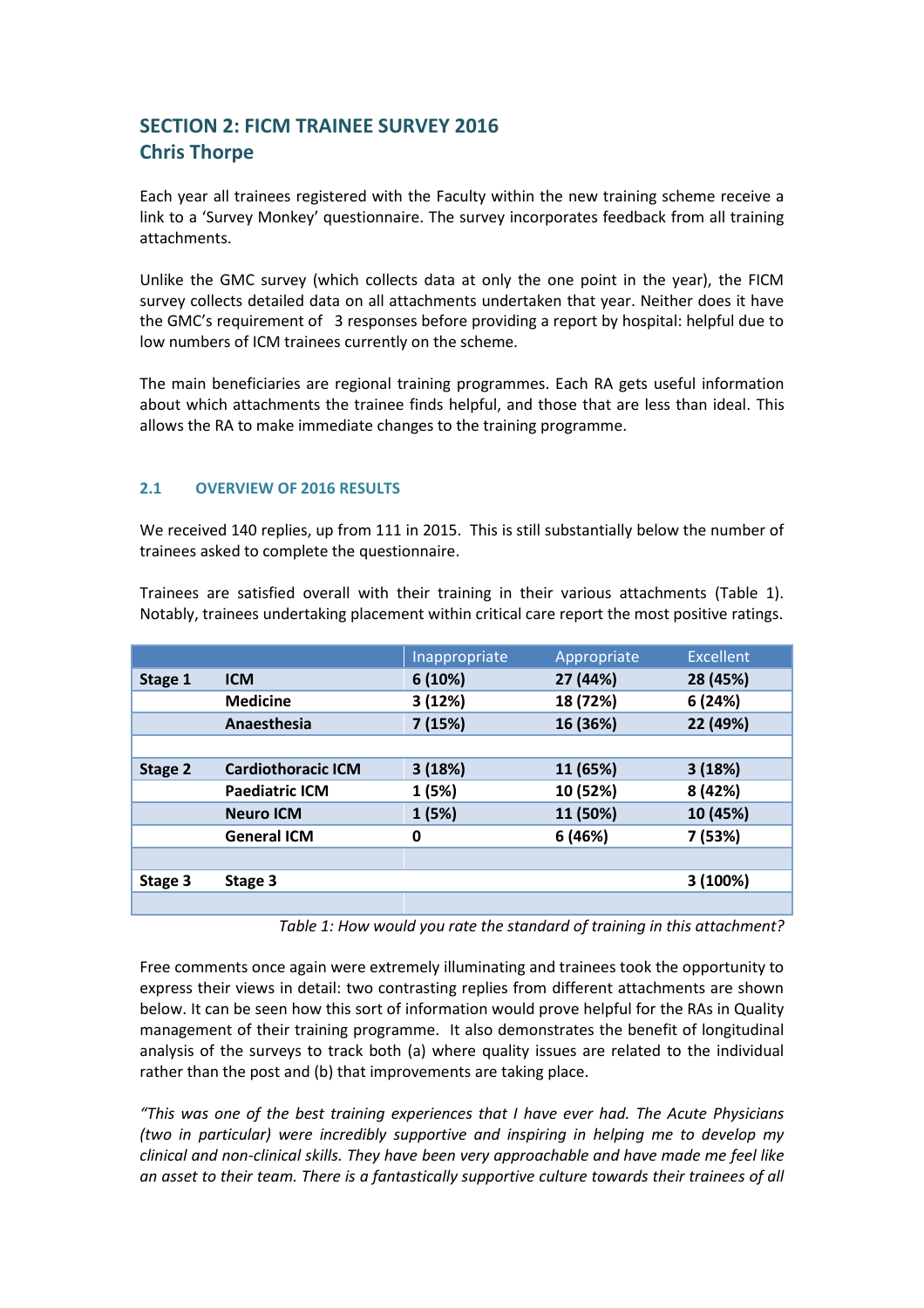# <span id="page-3-0"></span>**SECTION 2: FICM TRAINEE SURVEY 2016 Chris Thorpe**

Each year all trainees registered with the Faculty within the new training scheme receive a link to a 'Survey Monkey' questionnaire. The survey incorporates feedback from all training attachments.

Unlike the GMC survey (which collects data at only the one point in the year), the FICM survey collects detailed data on all attachments undertaken that year. Neither does it have the GMC's requirement of 3 responses before providing a report by hospital: helpful due to low numbers of ICM trainees currently on the scheme.

The main beneficiaries are regional training programmes. Each RA gets useful information about which attachments the trainee finds helpful, and those that are less than ideal. This allows the RA to make immediate changes to the training programme.

#### **2.1 OVERVIEW OF 2016 RESULTS**

We received 140 replies, up from 111 in 2015. This is still substantially below the number of trainees asked to complete the questionnaire.

Trainees are satisfied overall with their training in their various attachments (Table 1). Notably, trainees undertaking placement within critical care report the most positive ratings.

|         |                           | Inappropriate | Appropriate | <b>Excellent</b> |
|---------|---------------------------|---------------|-------------|------------------|
| Stage 1 | <b>ICM</b>                | 6(10%)        | 27 (44%)    | 28 (45%)         |
|         | <b>Medicine</b>           | 3(12%)        | 18 (72%)    | 6 (24%)          |
|         | Anaesthesia               | 7(15%)        | 16 (36%)    | 22 (49%)         |
|         |                           |               |             |                  |
| Stage 2 | <b>Cardiothoracic ICM</b> | 3(18%)        | 11 (65%)    | 3(18%)           |
|         | <b>Paediatric ICM</b>     | 1 (5%)        | 10 (52%)    | 8 (42%)          |
|         | <b>Neuro ICM</b>          | 1(5%)         | 11 (50%)    | 10 (45%)         |
|         | <b>General ICM</b>        | 0             | 6 (46%)     | 7 (53%)          |
|         |                           |               |             |                  |
| Stage 3 | Stage 3                   |               |             | 3 (100%)         |
|         |                           |               |             |                  |

*Table 1: How would you rate the standard of training in this attachment?*

Free comments once again were extremely illuminating and trainees took the opportunity to express their views in detail: two contrasting replies from different attachments are shown below. It can be seen how this sort of information would prove helpful for the RAs in Quality management of their training programme. It also demonstrates the benefit of longitudinal analysis of the surveys to track both (a) where quality issues are related to the individual rather than the post and (b) that improvements are taking place.

*"This was one of the best training experiences that I have ever had. The Acute Physicians (two in particular) were incredibly supportive and inspiring in helping me to develop my clinical and non-clinical skills. They have been very approachable and have made me feel like an asset to their team. There is a fantastically supportive culture towards their trainees of all*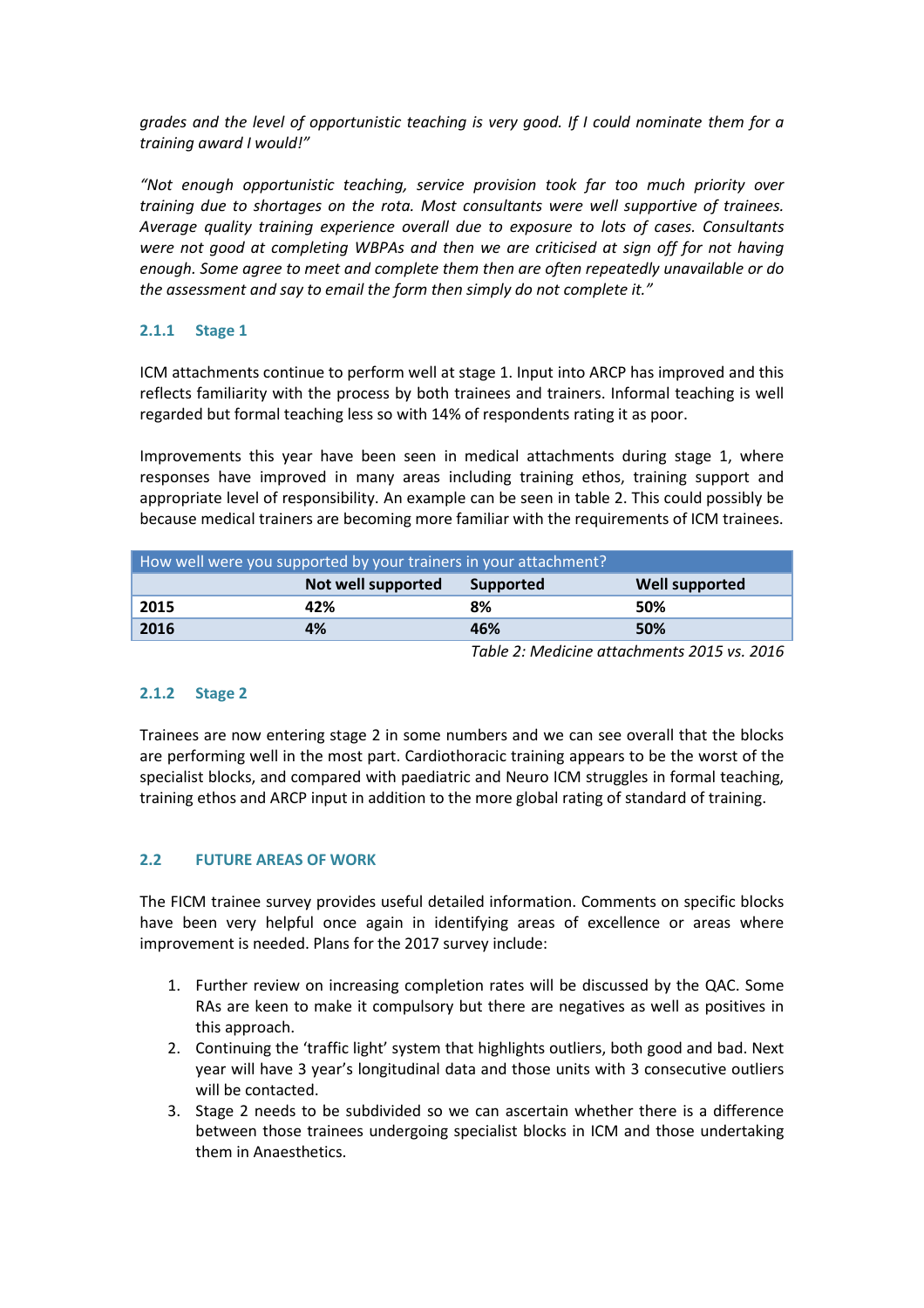*grades and the level of opportunistic teaching is very good. If I could nominate them for a training award I would!"*

*"Not enough opportunistic teaching, service provision took far too much priority over training due to shortages on the rota. Most consultants were well supportive of trainees. Average quality training experience overall due to exposure to lots of cases. Consultants were not good at completing WBPAs and then we are criticised at sign off for not having enough. Some agree to meet and complete them then are often repeatedly unavailable or do the assessment and say to email the form then simply do not complete it."*

#### **2.1.1 Stage 1**

ICM attachments continue to perform well at stage 1. Input into ARCP has improved and this reflects familiarity with the process by both trainees and trainers. Informal teaching is well regarded but formal teaching less so with 14% of respondents rating it as poor.

Improvements this year have been seen in medical attachments during stage 1, where responses have improved in many areas including training ethos, training support and appropriate level of responsibility. An example can be seen in table 2. This could possibly be because medical trainers are becoming more familiar with the requirements of ICM trainees.

| How well were you supported by your trainers in your attachment? |                    |                                                                                                                                                                                                                                                                                                                                      |                       |  |  |
|------------------------------------------------------------------|--------------------|--------------------------------------------------------------------------------------------------------------------------------------------------------------------------------------------------------------------------------------------------------------------------------------------------------------------------------------|-----------------------|--|--|
|                                                                  | Not well supported | Supported                                                                                                                                                                                                                                                                                                                            | <b>Well supported</b> |  |  |
| 2015                                                             | 42%                | 8%                                                                                                                                                                                                                                                                                                                                   | 50%                   |  |  |
| 2016                                                             | 4%                 | 46%                                                                                                                                                                                                                                                                                                                                  | 50%                   |  |  |
|                                                                  |                    | $\tau$ , i.e. $\tau$ , i.e. $\tau$ , $\tau$ , $\tau$ , $\tau$ , $\tau$ , $\tau$ , $\tau$ , $\tau$ , $\tau$ , $\tau$ , $\tau$ , $\tau$ , $\tau$ , $\tau$ , $\tau$ , $\tau$ , $\tau$ , $\tau$ , $\tau$ , $\tau$ , $\tau$ , $\tau$ , $\tau$ , $\tau$ , $\tau$ , $\tau$ , $\tau$ , $\tau$ , $\tau$ , $\tau$ , $\tau$ , $\tau$ , $\tau$ , |                       |  |  |

*Table 2: Medicine attachments 2015 vs. 2016*

#### **2.1.2 Stage 2**

Trainees are now entering stage 2 in some numbers and we can see overall that the blocks are performing well in the most part. Cardiothoracic training appears to be the worst of the specialist blocks, and compared with paediatric and Neuro ICM struggles in formal teaching, training ethos and ARCP input in addition to the more global rating of standard of training.

#### **2.2 FUTURE AREAS OF WORK**

The FICM trainee survey provides useful detailed information. Comments on specific blocks have been very helpful once again in identifying areas of excellence or areas where improvement is needed. Plans for the 2017 survey include:

- 1. Further review on increasing completion rates will be discussed by the QAC. Some RAs are keen to make it compulsory but there are negatives as well as positives in this approach.
- 2. Continuing the 'traffic light' system that highlights outliers, both good and bad. Next year will have 3 year's longitudinal data and those units with 3 consecutive outliers will be contacted.
- 3. Stage 2 needs to be subdivided so we can ascertain whether there is a difference between those trainees undergoing specialist blocks in ICM and those undertaking them in Anaesthetics.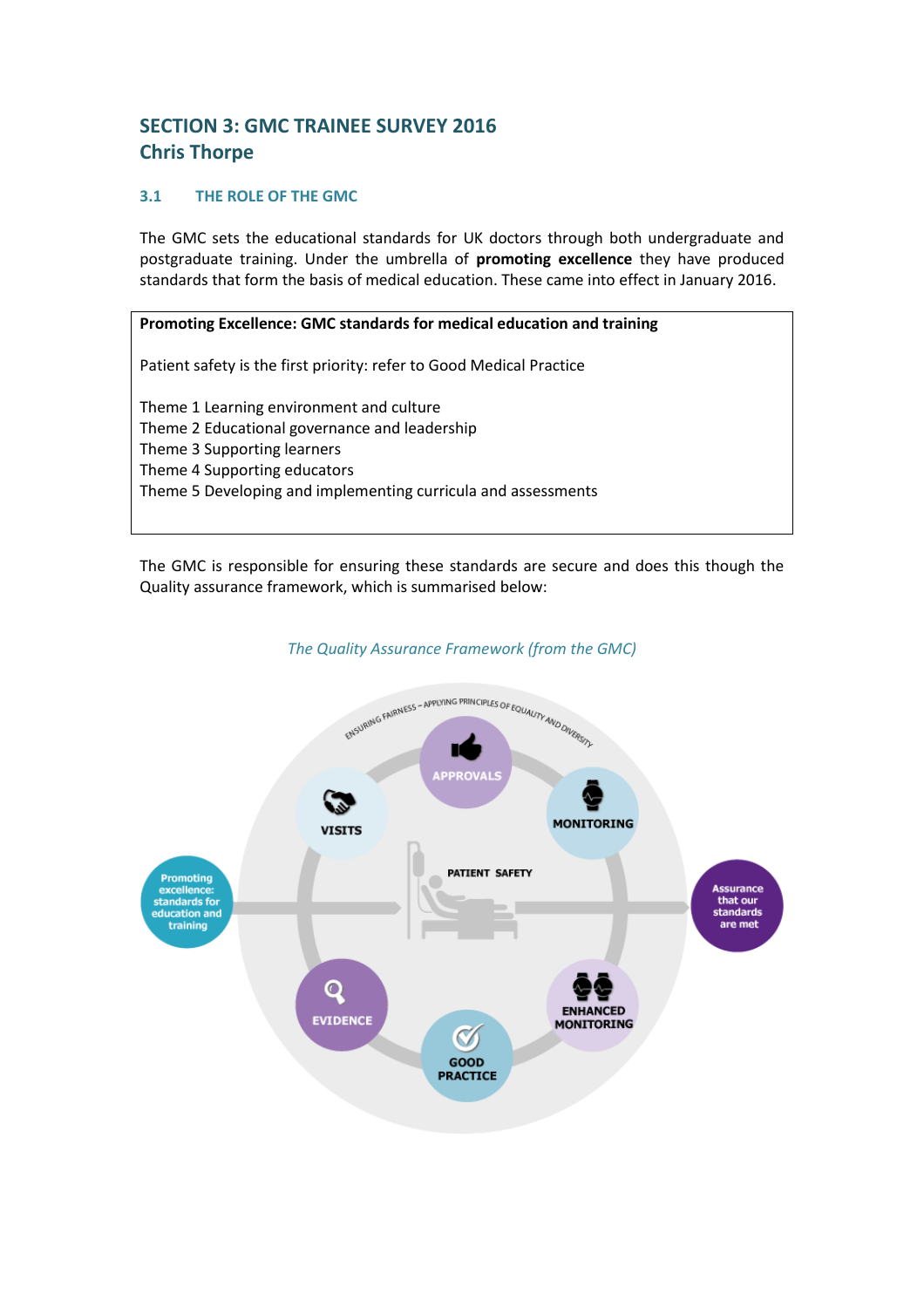# <span id="page-5-0"></span>**SECTION 3: GMC TRAINEE SURVEY 2016 Chris Thorpe**

#### **3.1 THE ROLE OF THE GMC**

The GMC sets the educational standards for UK doctors through both undergraduate and postgraduate training. Under the umbrella of **promoting excellence** they have produced standards that form the basis of medical education. These came into effect in January 2016.

#### **Promoting Excellence: GMC standards for medical education and training**

Patient safety is the first priority: refer to Good Medical Practice

Theme 1 Learning environment and culture Theme 2 Educational governance and leadership Theme 3 Supporting learners Theme 4 Supporting educators Theme 5 Developing and implementing curricula and assessments

The GMC is responsible for ensuring these standards are secure and does this though the Quality assurance framework, which is summarised below:



#### *The Quality Assurance Framework (from the GMC)*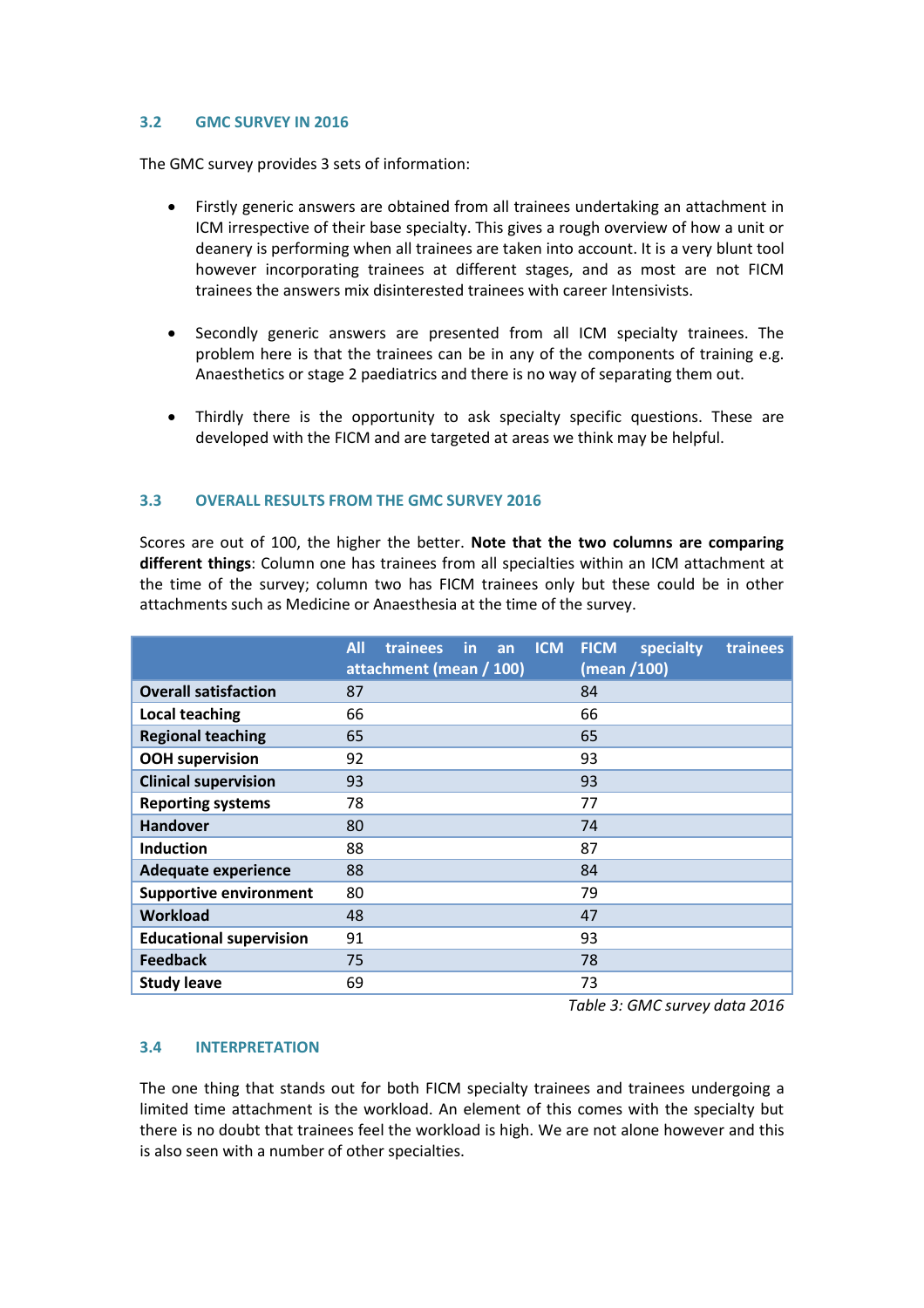#### **3.2 GMC SURVEY IN 2016**

The GMC survey provides 3 sets of information:

- Firstly generic answers are obtained from all trainees undertaking an attachment in ICM irrespective of their base specialty. This gives a rough overview of how a unit or deanery is performing when all trainees are taken into account. It is a very blunt tool however incorporating trainees at different stages, and as most are not FICM trainees the answers mix disinterested trainees with career Intensivists.
- Secondly generic answers are presented from all ICM specialty trainees. The problem here is that the trainees can be in any of the components of training e.g. Anaesthetics or stage 2 paediatrics and there is no way of separating them out.
- Thirdly there is the opportunity to ask specialty specific questions. These are developed with the FICM and are targeted at areas we think may be helpful.

#### **3.3 OVERALL RESULTS FROM THE GMC SURVEY 2016**

Scores are out of 100, the higher the better. **Note that the two columns are comparing different things**: Column one has trainees from all specialties within an ICM attachment at the time of the survey; column two has FICM trainees only but these could be in other attachments such as Medicine or Anaesthesia at the time of the survey.

|                                | <b>All</b><br><b>ICM</b><br>trainees in<br>an<br>attachment (mean / 100) | <b>FICM</b><br>specialty<br>trainees<br>(mean /100) |
|--------------------------------|--------------------------------------------------------------------------|-----------------------------------------------------|
| <b>Overall satisfaction</b>    | 87                                                                       | 84                                                  |
| Local teaching                 | 66                                                                       | 66                                                  |
| <b>Regional teaching</b>       | 65                                                                       | 65                                                  |
| <b>OOH</b> supervision         | 92                                                                       | 93                                                  |
| <b>Clinical supervision</b>    | 93                                                                       | 93                                                  |
| <b>Reporting systems</b>       | 78                                                                       | 77                                                  |
| <b>Handover</b>                | 80                                                                       | 74                                                  |
| <b>Induction</b>               | 88                                                                       | 87                                                  |
| <b>Adequate experience</b>     | 88                                                                       | 84                                                  |
| <b>Supportive environment</b>  | 80                                                                       | 79                                                  |
| <b>Workload</b>                | 48                                                                       | 47                                                  |
| <b>Educational supervision</b> | 91                                                                       | 93                                                  |
| <b>Feedback</b>                | 75                                                                       | 78                                                  |
| <b>Study leave</b>             | 69                                                                       | 73                                                  |

*Table 3: GMC survey data 2016*

#### **3.4 INTERPRETATION**

The one thing that stands out for both FICM specialty trainees and trainees undergoing a limited time attachment is the workload. An element of this comes with the specialty but there is no doubt that trainees feel the workload is high. We are not alone however and this is also seen with a number of other specialties.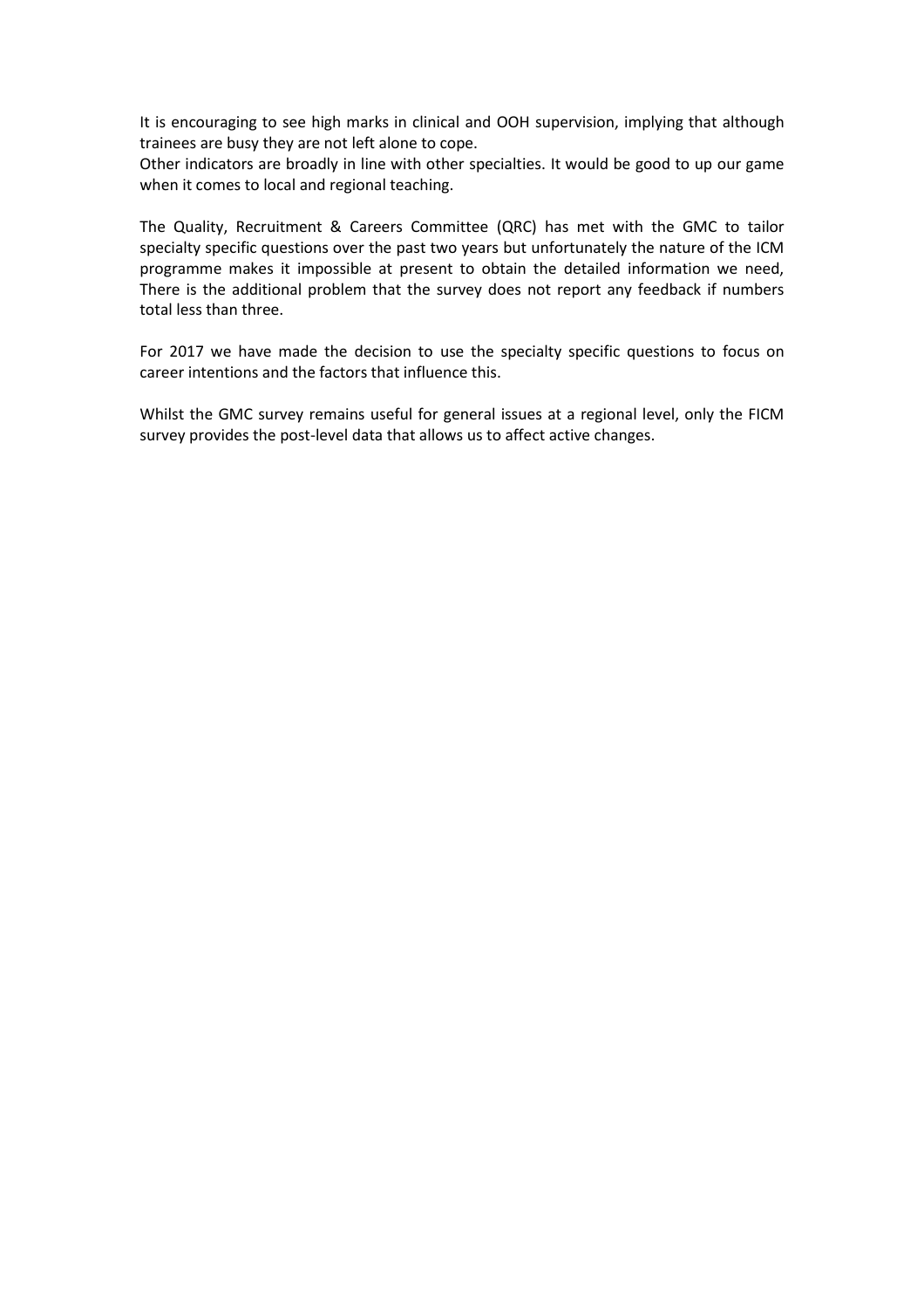It is encouraging to see high marks in clinical and OOH supervision, implying that although trainees are busy they are not left alone to cope.

Other indicators are broadly in line with other specialties. It would be good to up our game when it comes to local and regional teaching.

The Quality, Recruitment & Careers Committee (QRC) has met with the GMC to tailor specialty specific questions over the past two years but unfortunately the nature of the ICM programme makes it impossible at present to obtain the detailed information we need, There is the additional problem that the survey does not report any feedback if numbers total less than three.

For 2017 we have made the decision to use the specialty specific questions to focus on career intentions and the factors that influence this.

Whilst the GMC survey remains useful for general issues at a regional level, only the FICM survey provides the post-level data that allows us to affect active changes.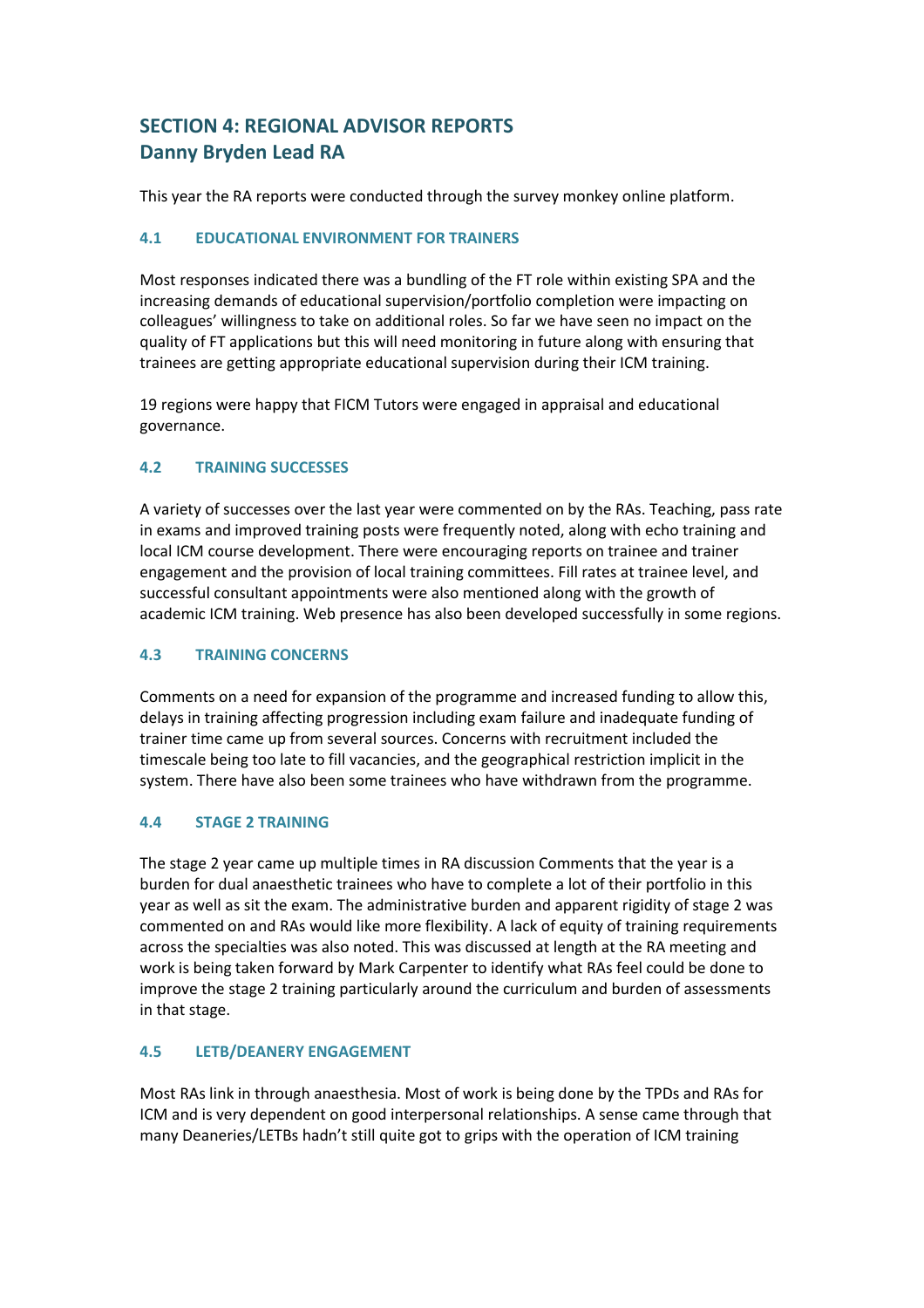# <span id="page-8-0"></span>**SECTION 4: REGIONAL ADVISOR REPORTS Danny Bryden Lead RA**

This year the RA reports were conducted through the survey monkey online platform.

#### **4.1 EDUCATIONAL ENVIRONMENT FOR TRAINERS**

Most responses indicated there was a bundling of the FT role within existing SPA and the increasing demands of educational supervision/portfolio completion were impacting on colleagues' willingness to take on additional roles. So far we have seen no impact on the quality of FT applications but this will need monitoring in future along with ensuring that trainees are getting appropriate educational supervision during their ICM training.

19 regions were happy that FICM Tutors were engaged in appraisal and educational governance.

#### **4.2 TRAINING SUCCESSES**

A variety of successes over the last year were commented on by the RAs. Teaching, pass rate in exams and improved training posts were frequently noted, along with echo training and local ICM course development. There were encouraging reports on trainee and trainer engagement and the provision of local training committees. Fill rates at trainee level, and successful consultant appointments were also mentioned along with the growth of academic ICM training. Web presence has also been developed successfully in some regions.

#### **4.3 TRAINING CONCERNS**

Comments on a need for expansion of the programme and increased funding to allow this, delays in training affecting progression including exam failure and inadequate funding of trainer time came up from several sources. Concerns with recruitment included the timescale being too late to fill vacancies, and the geographical restriction implicit in the system. There have also been some trainees who have withdrawn from the programme.

#### **4.4 STAGE 2 TRAINING**

The stage 2 year came up multiple times in RA discussion Comments that the year is a burden for dual anaesthetic trainees who have to complete a lot of their portfolio in this year as well as sit the exam. The administrative burden and apparent rigidity of stage 2 was commented on and RAs would like more flexibility. A lack of equity of training requirements across the specialties was also noted. This was discussed at length at the RA meeting and work is being taken forward by Mark Carpenter to identify what RAs feel could be done to improve the stage 2 training particularly around the curriculum and burden of assessments in that stage.

#### **4.5 LETB/DEANERY ENGAGEMENT**

Most RAs link in through anaesthesia. Most of work is being done by the TPDs and RAs for ICM and is very dependent on good interpersonal relationships. A sense came through that many Deaneries/LETBs hadn't still quite got to grips with the operation of ICM training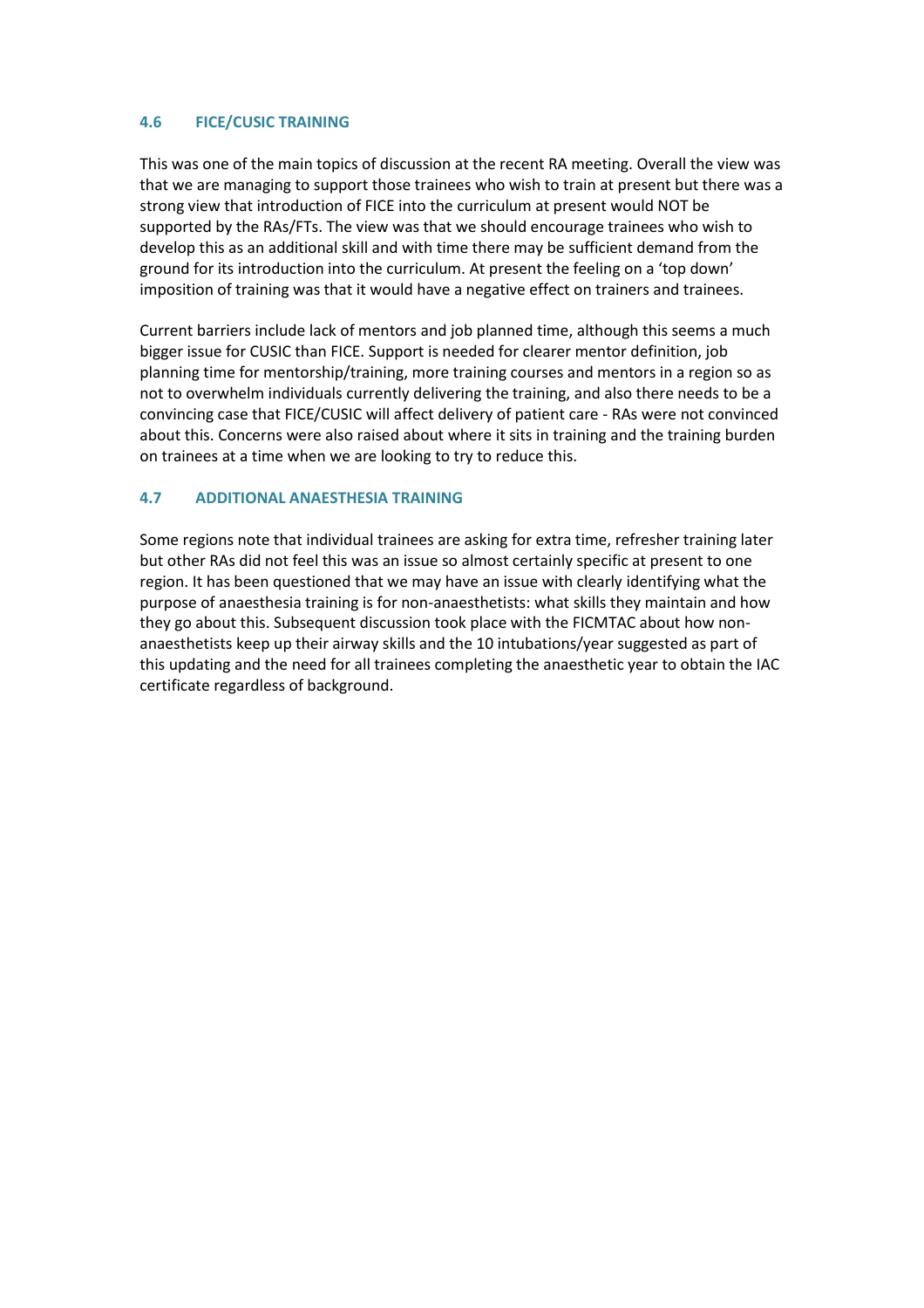#### **4.6 FICE/CUSIC TRAINING**

This was one of the main topics of discussion at the recent RA meeting. Overall the view was that we are managing to support those trainees who wish to train at present but there was a strong view that introduction of FICE into the curriculum at present would NOT be supported by the RAs/FTs. The view was that we should encourage trainees who wish to develop this as an additional skill and with time there may be sufficient demand from the ground for its introduction into the curriculum. At present the feeling on a 'top down' imposition of training was that it would have a negative effect on trainers and trainees.

Current barriers include lack of mentors and job planned time, although this seems a much bigger issue for CUSIC than FICE. Support is needed for clearer mentor definition, job planning time for mentorship/training, more training courses and mentors in a region so as not to overwhelm individuals currently delivering the training, and also there needs to be a convincing case that FICE/CUSIC will affect delivery of patient care - RAs were not convinced about this. Concerns were also raised about where it sits in training and the training burden on trainees at a time when we are looking to try to reduce this.

#### **4.7 ADDITIONAL ANAESTHESIA TRAINING**

Some regions note that individual trainees are asking for extra time, refresher training later but other RAs did not feel this was an issue so almost certainly specific at present to one region. It has been questioned that we may have an issue with clearly identifying what the purpose of anaesthesia training is for non-anaesthetists: what skills they maintain and how they go about this. Subsequent discussion took place with the FICMTAC about how nonanaesthetists keep up their airway skills and the 10 intubations/year suggested as part of this updating and the need for all trainees completing the anaesthetic year to obtain the IAC certificate regardless of background.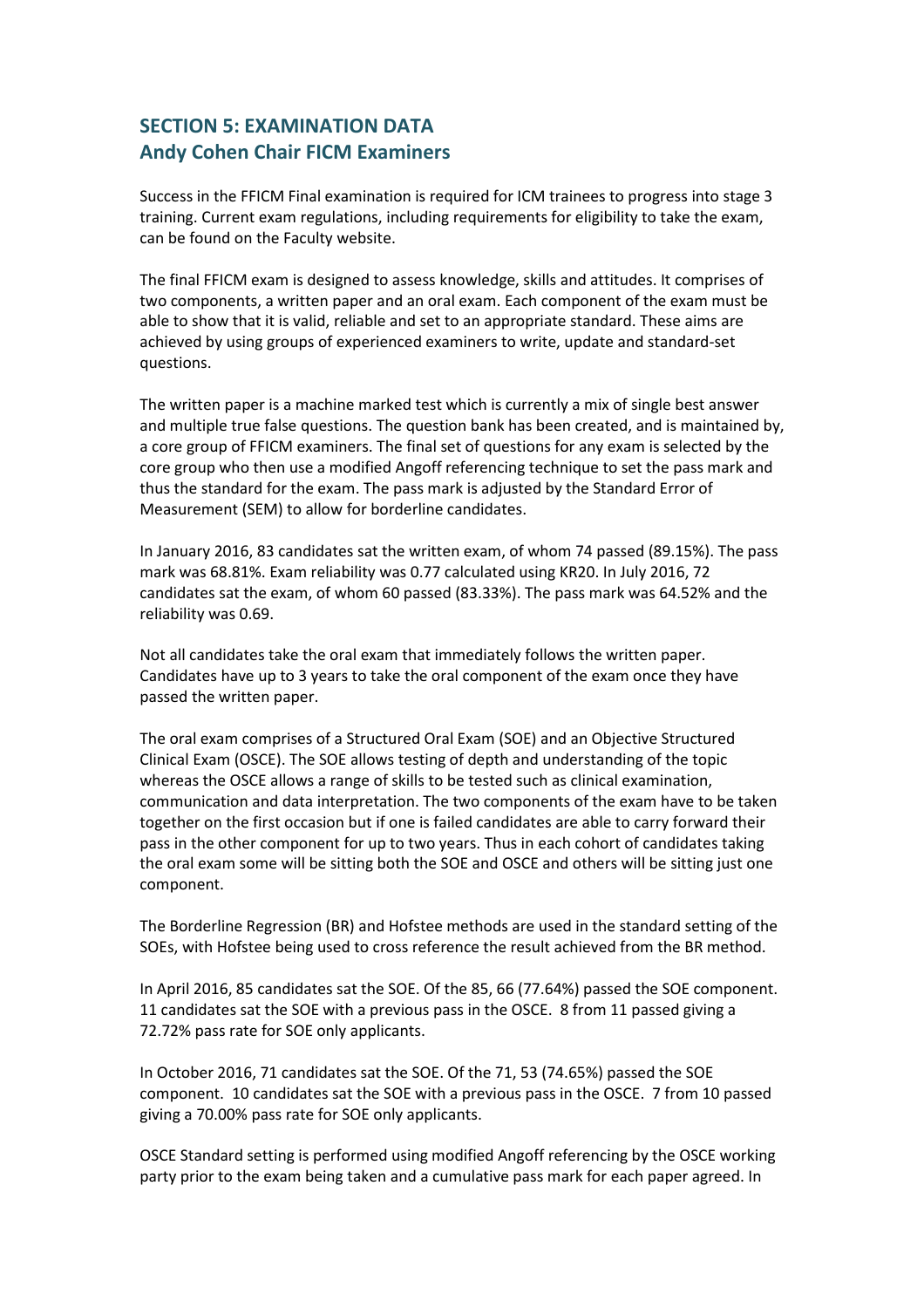## <span id="page-10-0"></span>**SECTION 5: EXAMINATION DATA Andy Cohen Chair FICM Examiners**

Success in the FFICM Final examination is required for ICM trainees to progress into stage 3 training. Current exam regulations, including requirements for eligibility to take the exam, can be found on the Faculty website.

The final FFICM exam is designed to assess knowledge, skills and attitudes. It comprises of two components, a written paper and an oral exam. Each component of the exam must be able to show that it is valid, reliable and set to an appropriate standard. These aims are achieved by using groups of experienced examiners to write, update and standard-set questions.

The written paper is a machine marked test which is currently a mix of single best answer and multiple true false questions. The question bank has been created, and is maintained by, a core group of FFICM examiners. The final set of questions for any exam is selected by the core group who then use a modified Angoff referencing technique to set the pass mark and thus the standard for the exam. The pass mark is adjusted by the Standard Error of Measurement (SEM) to allow for borderline candidates.

In January 2016, 83 candidates sat the written exam, of whom 74 passed (89.15%). The pass mark was 68.81%. Exam reliability was 0.77 calculated using KR20. In July 2016, 72 candidates sat the exam, of whom 60 passed (83.33%). The pass mark was 64.52% and the reliability was 0.69.

Not all candidates take the oral exam that immediately follows the written paper. Candidates have up to 3 years to take the oral component of the exam once they have passed the written paper.

The oral exam comprises of a Structured Oral Exam (SOE) and an Objective Structured Clinical Exam (OSCE). The SOE allows testing of depth and understanding of the topic whereas the OSCE allows a range of skills to be tested such as clinical examination, communication and data interpretation. The two components of the exam have to be taken together on the first occasion but if one is failed candidates are able to carry forward their pass in the other component for up to two years. Thus in each cohort of candidates taking the oral exam some will be sitting both the SOE and OSCE and others will be sitting just one component.

The Borderline Regression (BR) and Hofstee methods are used in the standard setting of the SOEs, with Hofstee being used to cross reference the result achieved from the BR method.

In April 2016, 85 candidates sat the SOE. Of the 85, 66 (77.64%) passed the SOE component. 11 candidates sat the SOE with a previous pass in the OSCE. 8 from 11 passed giving a 72.72% pass rate for SOE only applicants.

In October 2016, 71 candidates sat the SOE. Of the 71, 53 (74.65%) passed the SOE component. 10 candidates sat the SOE with a previous pass in the OSCE. 7 from 10 passed giving a 70.00% pass rate for SOE only applicants.

OSCE Standard setting is performed using modified Angoff referencing by the OSCE working party prior to the exam being taken and a cumulative pass mark for each paper agreed. In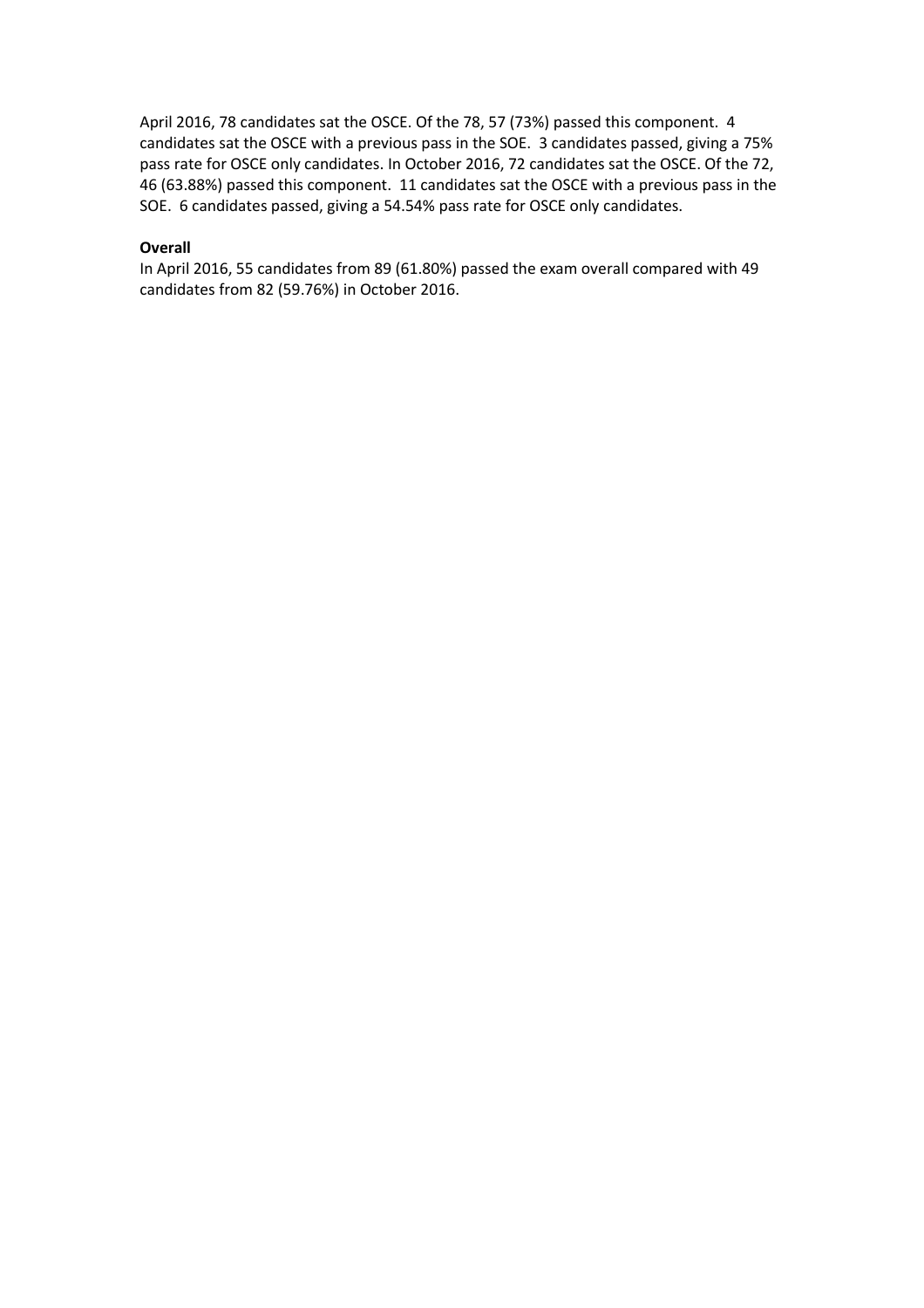April 2016, 78 candidates sat the OSCE. Of the 78, 57 (73%) passed this component. 4 candidates sat the OSCE with a previous pass in the SOE. 3 candidates passed, giving a 75% pass rate for OSCE only candidates. In October 2016, 72 candidates sat the OSCE. Of the 72, 46 (63.88%) passed this component. 11 candidates sat the OSCE with a previous pass in the SOE. 6 candidates passed, giving a 54.54% pass rate for OSCE only candidates.

#### **Overall**

In April 2016, 55 candidates from 89 (61.80%) passed the exam overall compared with 49 candidates from 82 (59.76%) in October 2016.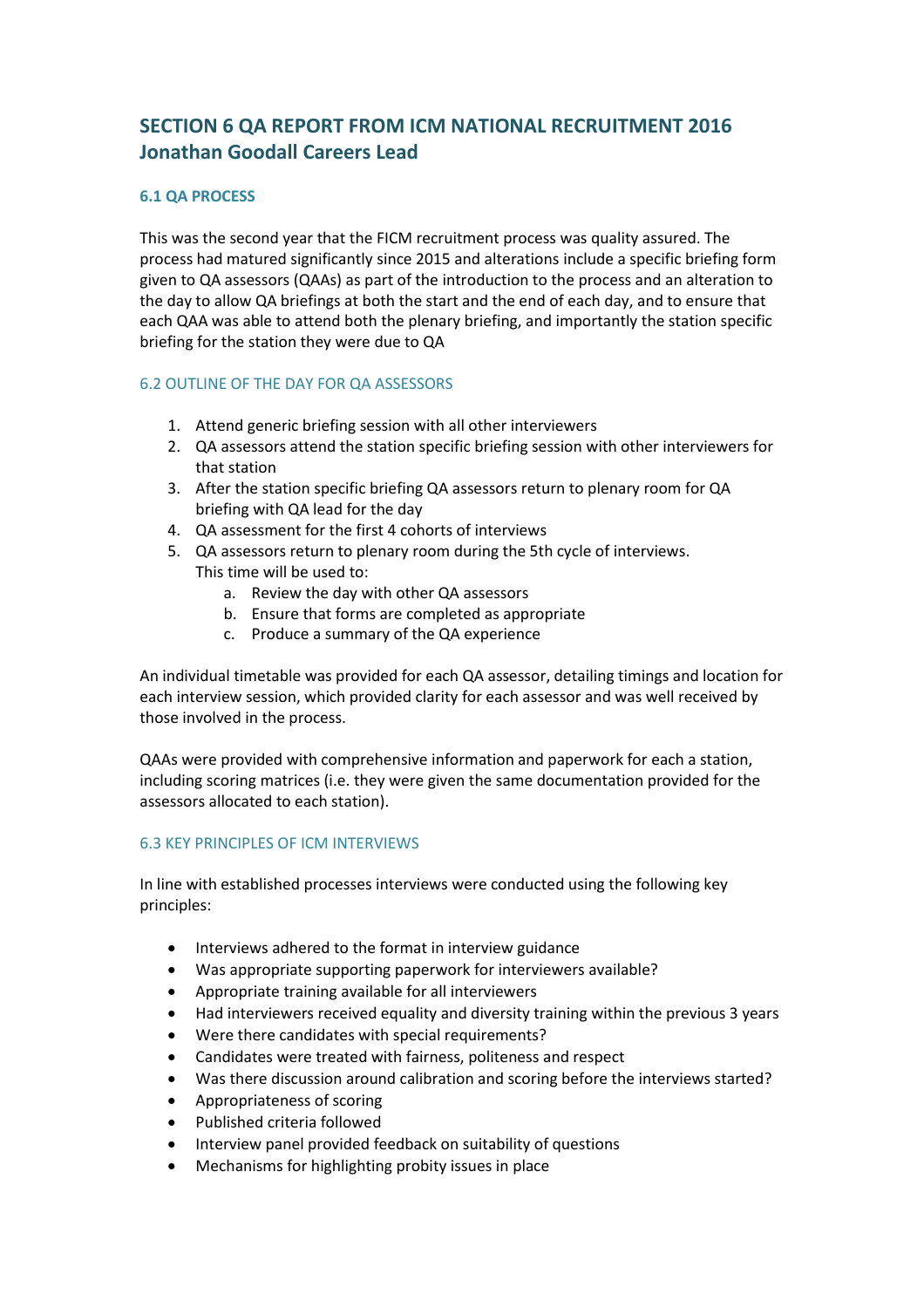## <span id="page-12-0"></span>**SECTION 6 QA REPORT FROM ICM NATIONAL RECRUITMENT 2016 Jonathan Goodall Careers Lead**

#### **6.1 QA PROCESS**

This was the second year that the FICM recruitment process was quality assured. The process had matured significantly since 2015 and alterations include a specific briefing form given to QA assessors (QAAs) as part of the introduction to the process and an alteration to the day to allow QA briefings at both the start and the end of each day, and to ensure that each QAA was able to attend both the plenary briefing, and importantly the station specific briefing for the station they were due to QA

#### 6.2 OUTLINE OF THE DAY FOR QA ASSESSORS

- 1. Attend generic briefing session with all other interviewers
- 2. QA assessors attend the station specific briefing session with other interviewers for that station
- 3. After the station specific briefing QA assessors return to plenary room for QA briefing with QA lead for the day
- 4. QA assessment for the first 4 cohorts of interviews
- 5. QA assessors return to plenary room during the 5th cycle of interviews. This time will be used to:
	- a. Review the day with other QA assessors
	- b. Ensure that forms are completed as appropriate
	- c. Produce a summary of the QA experience

An individual timetable was provided for each QA assessor, detailing timings and location for each interview session, which provided clarity for each assessor and was well received by those involved in the process.

QAAs were provided with comprehensive information and paperwork for each a station, including scoring matrices (i.e. they were given the same documentation provided for the assessors allocated to each station).

#### 6.3 KEY PRINCIPLES OF ICM INTERVIEWS

In line with established processes interviews were conducted using the following key principles:

- Interviews adhered to the format in interview guidance
- Was appropriate supporting paperwork for interviewers available?
- Appropriate training available for all interviewers
- Had interviewers received equality and diversity training within the previous 3 years
- Were there candidates with special requirements?
- Candidates were treated with fairness, politeness and respect
- Was there discussion around calibration and scoring before the interviews started?
- Appropriateness of scoring
- Published criteria followed
- Interview panel provided feedback on suitability of questions
- Mechanisms for highlighting probity issues in place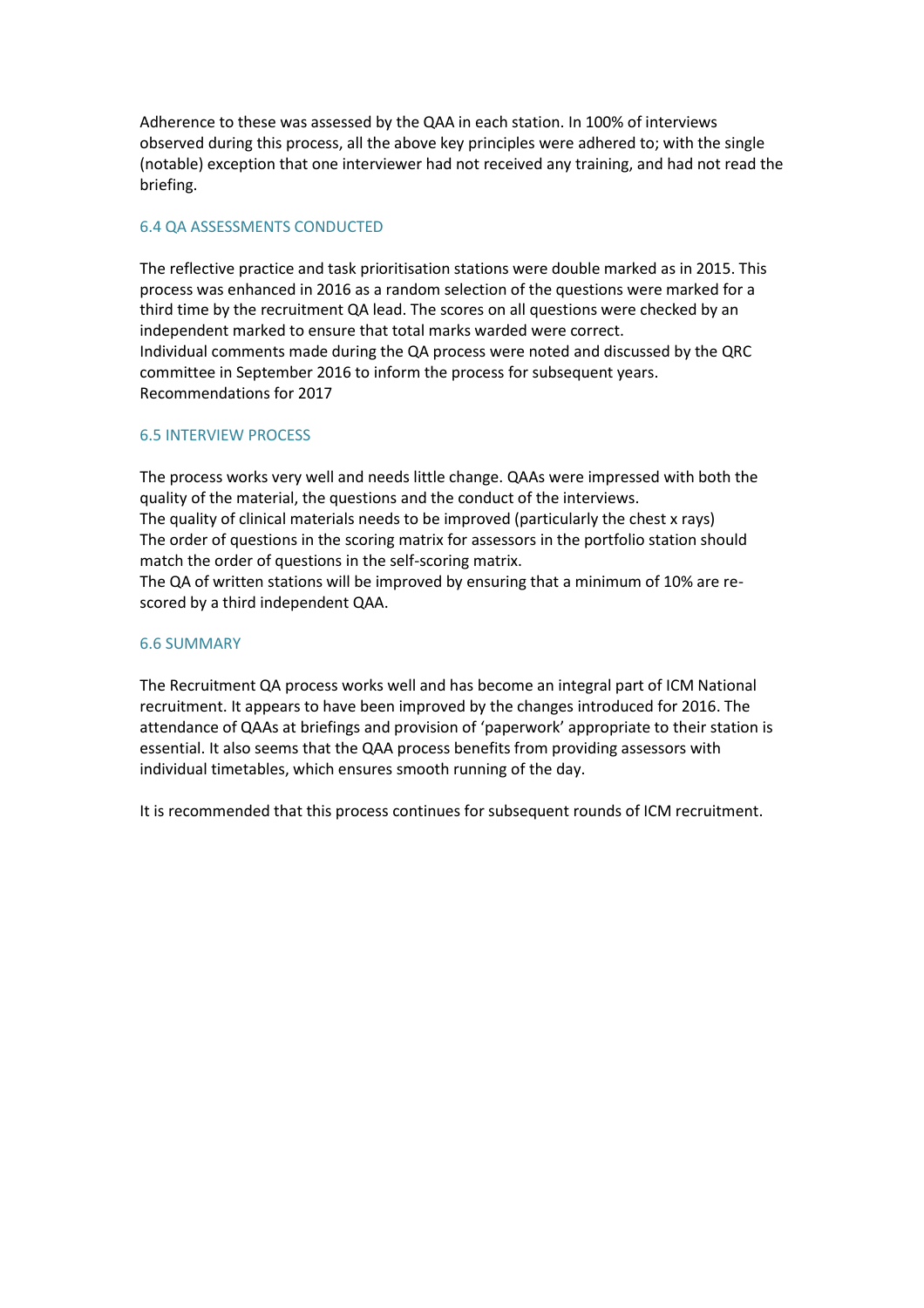Adherence to these was assessed by the QAA in each station. In 100% of interviews observed during this process, all the above key principles were adhered to; with the single (notable) exception that one interviewer had not received any training, and had not read the briefing.

#### 6.4 QA ASSESSMENTS CONDUCTED

The reflective practice and task prioritisation stations were double marked as in 2015. This process was enhanced in 2016 as a random selection of the questions were marked for a third time by the recruitment QA lead. The scores on all questions were checked by an independent marked to ensure that total marks warded were correct. Individual comments made during the QA process were noted and discussed by the QRC committee in September 2016 to inform the process for subsequent years. Recommendations for 2017

#### 6.5 INTERVIEW PROCESS

The process works very well and needs little change. QAAs were impressed with both the quality of the material, the questions and the conduct of the interviews.

The quality of clinical materials needs to be improved (particularly the chest x rays) The order of questions in the scoring matrix for assessors in the portfolio station should match the order of questions in the self-scoring matrix.

The QA of written stations will be improved by ensuring that a minimum of 10% are rescored by a third independent QAA.

#### 6.6 SUMMARY

The Recruitment QA process works well and has become an integral part of ICM National recruitment. It appears to have been improved by the changes introduced for 2016. The attendance of QAAs at briefings and provision of 'paperwork' appropriate to their station is essential. It also seems that the QAA process benefits from providing assessors with individual timetables, which ensures smooth running of the day.

It is recommended that this process continues for subsequent rounds of ICM recruitment.